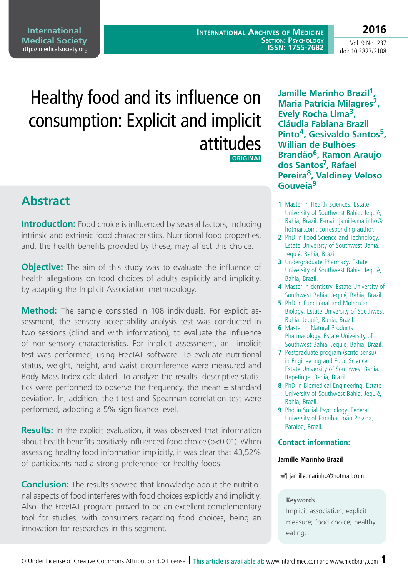**International Archives of Medicine Section: Psychology ISSN: 1755-7682**

Vol. 9 No. 237 doi: 10.3823/2108

**2016**

# Healthy food and its influence on consumption: Explicit and implicit attitudes

 **ORIGINAL** 

# **Abstract**

**Introduction:** Food choice is influenced by several factors, including intrinsic and extrinsic food characteristics. Nutritional food properties, and, the health benefits provided by these, may affect this choice.

**Objective:** The aim of this study was to evaluate the influence of health allegations on food choices of adults explicitly and implicitly, by adapting the Implicit Association methodology.

**Method:** The sample consisted in 108 individuals. For explicit assessment, the sensory acceptability analysis test was conducted in two sessions (blind and with information), to evaluate the influence of non-sensory characteristics. For implicit assessment, an implicit test was performed, using FreeIAT software. To evaluate nutritional status, weight, height, and waist circumference were measured and Body Mass Index calculated. To analyze the results, descriptive statistics were performed to observe the frequency, the mean  $\pm$  standard deviation. In, addition, the t-test and Spearman correlation test were performed, adopting a 5% significance level.

**Results:** In the explicit evaluation, it was observed that information about health benefits positively influenced food choice (p<0.01). When assessing healthy food information implicitly, it was clear that 43,52% of participants had a strong preference for healthy foods.

**Conclusion:** The results showed that knowledge about the nutritional aspects of food interferes with food choices explicitly and implicitly. Also, the FreeIAT program proved to be an excellent complementary tool for studies, with consumers regarding food choices, being an innovation for researches in this segment.

**Jamille Marinho Brazil1, Maria Patrícia Milagres2, Evely Rocha Lima3, Cláudia Fabiana Brazil Pinto4, Gesivaldo Santos5, Willian de Bulhões Brandão6, Ramon Araujo dos Santos7, Rafael Pereira8, Valdiney Veloso Gouveia9**

- **1** Master in Health Sciences. Estate University of Southwest Bahia. Jequié, Bahia, Brazil. E-mail: jamille.marinho@ hotmail.com, corresponding author.
- **2** PhD in Food Science and Technology. Estate University of Southwest Bahia. Jequié, Bahia, Brazil.
- **3** Undergraduate Pharmacy. Estate University of Southwest Bahia. Jequié, Bahia, Brazil.
- **4** Master in dentistry. Estate University of Southwest Bahia. Jequié, Bahia, Brazil.
- **5** PhD in Functional and Molecular Biology. Estate University of Southwest Bahia. Jequié, Bahia, Brazil.
- **6** Master in Natural Products Pharmacology. Estate University of Southwest Bahia. Jequié, Bahia, Brazil.
- **7** Postgraduate program (scrito sensu) in Engineering and Food Science. Estate University of Southwest Bahia. Itapetinga, Bahia, Brazil.
- **8** PhD in Biomedical Engineering. Estate University of Southwest Bahia. Jequié, Bahia, Brazil.
- **9** Phd in Social Psychology. Federal University of Paraiba. João Pessoa, Paraíba, Brazil.

## **Contact information:**

#### **Jamille Marinho Brazil**

 $\equiv$  jamille.marinho@hotmail.com

#### **Keywords**

Implicit association; explicit measure; food choice; healthy eating.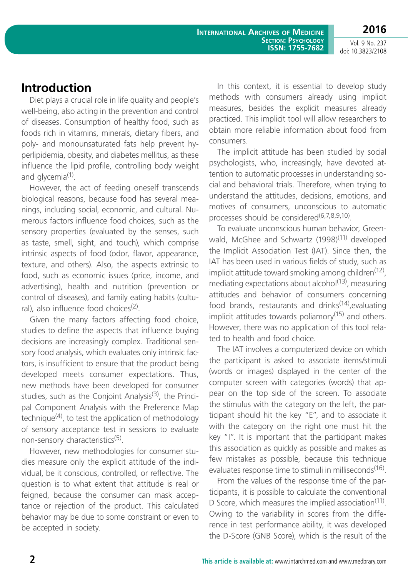**2016** Vol. 9 No. 237

doi: 10.3823/2108

## **Introduction**

Diet plays a crucial role in life quality and people's well-being, also acting in the prevention and control of diseases. Consumption of healthy food, such as foods rich in vitamins, minerals, dietary fibers, and poly- and monounsaturated fats help prevent hyperlipidemia, obesity, and diabetes mellitus, as these influence the lipid profile, controlling body weight and glycemia $<sup>(1)</sup>$ .</sup>

However, the act of feeding oneself transcends biological reasons, because food has several meanings, including social, economic, and cultural. Numerous factors influence food choices, such as the sensory properties (evaluated by the senses, such as taste, smell, sight, and touch), which comprise intrinsic aspects of food (odor, flavor, appearance, texture, and others). Also, the aspects extrinsic to food, such as economic issues (price, income, and advertising), health and nutrition (prevention or control of diseases), and family eating habits (cultural), also influence food choices $(2)$ .

Given the many factors affecting food choice, studies to define the aspects that influence buying decisions are increasingly complex. Traditional sensory food analysis, which evaluates only intrinsic factors, is insufficient to ensure that the product being developed meets consumer expectations. Thus, new methods have been developed for consumer studies, such as the Conjoint Analysis<sup>(3)</sup>, the Principal Component Analysis with the Preference Map technique $^{(4)}$ , to test the application of methodology of sensory acceptance test in sessions to evaluate non-sensory characteristics<sup>(5)</sup>.

However, new methodologies for consumer studies measure only the explicit attitude of the individual, be it conscious, controlled, or reflective. The question is to what extent that attitude is real or feigned, because the consumer can mask acceptance or rejection of the product. This calculated behavior may be due to some constraint or even to be accepted in society.

In this context, it is essential to develop study methods with consumers already using implicit measures, besides the explicit measures already practiced. This implicit tool will allow researchers to obtain more reliable information about food from consumers.

The implicit attitude has been studied by social psychologists, who, increasingly, have devoted attention to automatic processes in understanding social and behavioral trials. Therefore, when trying to understand the attitudes, decisions, emotions, and motives of consumers, unconscious to automatic processes should be considered<sup>(6,7,8,9,10)</sup>.

To evaluate unconscious human behavior, Greenwald, McGhee and Schwartz (1998)<sup>(11)</sup> developed the Implicit Association Test (IAT). Since then, the IAT has been used in various fields of study, such as implicit attitude toward smoking among children<sup> $(12)$ </sup>, mediating expectations about alcohol<sup>(13)</sup>, measuring attitudes and behavior of consumers concerning food brands, restaurants and drinks $(14)$ , evaluating implicit attitudes towards poliamory $(15)$  and others. However, there was no application of this tool related to health and food choice.

The IAT involves a computerized device on which the participant is asked to associate items/stimuli (words or images) displayed in the center of the computer screen with categories (words) that appear on the top side of the screen. To associate the stimulus with the category on the left, the participant should hit the key "E", and to associate it with the category on the right one must hit the key "I". It is important that the participant makes this association as quickly as possible and makes as few mistakes as possible, because this technique evaluates response time to stimuli in milliseconds<sup>(16)</sup>.

From the values of the response time of the participants, it is possible to calculate the conventional D Score, which measures the implied association<sup> $(11)$ </sup>. Owing to the variability in scores from the difference in test performance ability, it was developed the D-Score (GNB Score), which is the result of the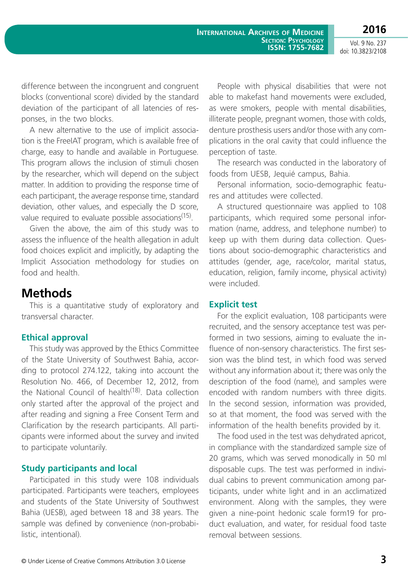**2016** Vol. 9 No. 237

doi: 10.3823/2108

difference between the incongruent and congruent blocks (conventional score) divided by the standard deviation of the participant of all latencies of responses, in the two blocks.

A new alternative to the use of implicit association is the FreeIAT program, which is available free of charge, easy to handle and available in Portuguese. This program allows the inclusion of stimuli chosen by the researcher, which will depend on the subject matter. In addition to providing the response time of each participant, the average response time, standard deviation, other values, and especially the D score, value required to evaluate possible associations<sup>(15)</sup>.

Given the above, the aim of this study was to assess the influence of the health allegation in adult food choices explicit and implicitly, by adapting the Implicit Association methodology for studies on food and health.

# **Methods**

This is a quantitative study of exploratory and transversal character.

## **Ethical approval**

This study was approved by the Ethics Committee of the State University of Southwest Bahia, according to protocol 274.122, taking into account the Resolution No. 466, of December 12, 2012, from the National Council of health<sup>(18)</sup>. Data collection only started after the approval of the project and after reading and signing a Free Consent Term and Clarification by the research participants. All participants were informed about the survey and invited to participate voluntarily.

#### **Study participants and local**

Participated in this study were 108 individuals participated. Participants were teachers, employees and students of the State University of Southwest Bahia (UESB), aged between 18 and 38 years. The sample was defined by convenience (non-probabilistic, intentional).

People with physical disabilities that were not able to makefast hand movements were excluded, as were smokers, people with mental disabilities, illiterate people, pregnant women, those with colds, denture prosthesis users and/or those with any complications in the oral cavity that could influence the perception of taste.

The research was conducted in the laboratory of foods from UESB, Jequié campus, Bahia.

Personal information, socio-demographic features and attitudes were collected.

A structured questionnaire was applied to 108 participants, which required some personal information (name, address, and telephone number) to keep up with them during data collection. Questions about socio-demographic characteristics and attitudes (gender, age, race/color, marital status, education, religion, family income, physical activity) were included.

#### **Explicit test**

For the explicit evaluation, 108 participants were recruited, and the sensory acceptance test was performed in two sessions, aiming to evaluate the influence of non-sensory characteristics. The first session was the blind test, in which food was served without any information about it; there was only the description of the food (name), and samples were encoded with random numbers with three digits. In the second session, information was provided, so at that moment, the food was served with the information of the health benefits provided by it.

The food used in the test was dehydrated apricot, in compliance with the standardized sample size of 20 grams, which was served monodically in 50 ml disposable cups. The test was performed in individual cabins to prevent communication among participants, under white light and in an acclimatized environment. Along with the samples, they were given a nine-point hedonic scale form19 for product evaluation, and water, for residual food taste removal between sessions.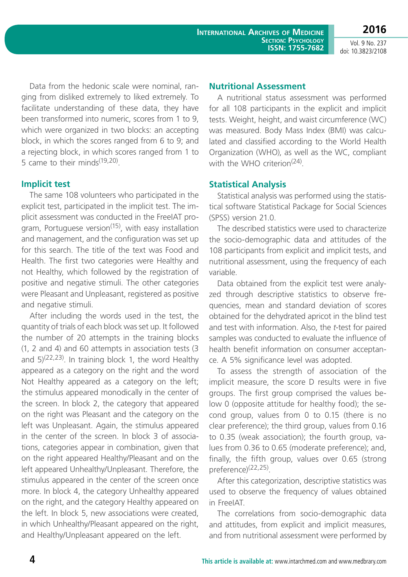**2016**

Data from the hedonic scale were nominal, ranging from disliked extremely to liked extremely. To facilitate understanding of these data, they have been transformed into numeric, scores from 1 to 9, which were organized in two blocks: an accepting block, in which the scores ranged from 6 to 9; and a rejecting block, in which scores ranged from 1 to 5 came to their minds $(19,20)$ .

## **Implicit test**

The same 108 volunteers who participated in the explicit test, participated in the implicit test. The implicit assessment was conducted in the FreeIAT program, Portuguese version<sup>(15)</sup>, with easy installation and management, and the configuration was set up for this search. The title of the text was Food and Health. The first two categories were Healthy and not Healthy, which followed by the registration of positive and negative stimuli. The other categories were Pleasant and Unpleasant, registered as positive and negative stimuli.

After including the words used in the test, the quantity of trials of each block was set up. It followed the number of 20 attempts in the training blocks (1, 2 and 4) and 60 attempts in association tests (3 and  $5)^{(22,23)}$ . In training block 1, the word Healthy appeared as a category on the right and the word Not Healthy appeared as a category on the left; the stimulus appeared monodically in the center of the screen. In block 2, the category that appeared on the right was Pleasant and the category on the left was Unpleasant. Again, the stimulus appeared in the center of the screen. In block 3 of associations, categories appear in combination, given that on the right appeared Healthy/Pleasant and on the left appeared Unhealthy/Unpleasant. Therefore, the stimulus appeared in the center of the screen once more. In block 4, the category Unhealthy appeared on the right, and the category Healthy appeared on the left. In block 5, new associations were created, in which Unhealthy/Pleasant appeared on the right, and Healthy/Unpleasant appeared on the left.

## **Nutritional Assessment**

A nutritional status assessment was performed for all 108 participants in the explicit and implicit tests. Weight, height, and waist circumference (WC) was measured. Body Mass Index (BMI) was calculated and classified according to the World Health Organization (WHO), as well as the WC, compliant with the WHO criterion<sup>(24)</sup>.

## **Statistical Analysis**

Statistical analysis was performed using the statistical software Statistical Package for Social Sciences (SPSS) version 21.0.

The described statistics were used to characterize the socio-demographic data and attitudes of the 108 participants from explicit and implicit tests, and nutritional assessment, using the frequency of each variable.

Data obtained from the explicit test were analyzed through descriptive statistics to observe frequencies, mean and standard deviation of scores obtained for the dehydrated apricot in the blind test and test with information. Also, the *t*-test for paired samples was conducted to evaluate the influence of health benefit information on consumer acceptance. A 5% significance level was adopted.

To assess the strength of association of the implicit measure, the score D results were in five groups. The first group comprised the values below 0 (opposite attitude for healthy food); the second group, values from 0 to 0.15 (there is no clear preference); the third group, values from 0.16 to 0.35 (weak association); the fourth group, values from 0.36 to 0.65 (moderate preference); and, finally, the fifth group, values over 0.65 (strong preference)(22,25).

After this categorization, descriptive statistics was used to observe the frequency of values obtained in FreeIAT.

The correlations from socio-demographic data and attitudes, from explicit and implicit measures, and from nutritional assessment were performed by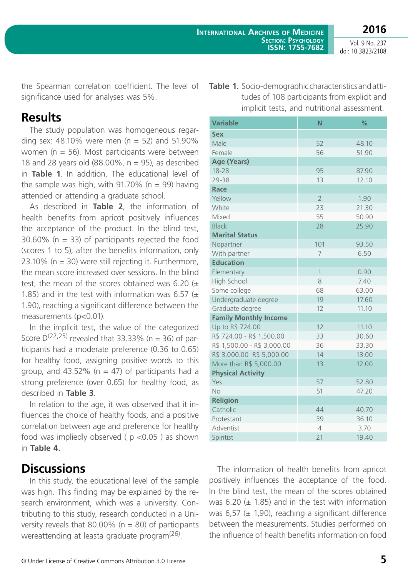**2016**

Vol. 9 No. 237 doi: 10.3823/2108

the Spearman correlation coefficient. The level of significance used for analyses was 5%.

## **Results**

The study population was homogeneous regarding sex:  $48.10\%$  were men (n = 52) and 51.90% women ( $n = 56$ ). Most participants were between 18 and 28 years old  $(88.00\% , n = 95)$ , as described in **Table 1**. In addition, The educational level of the sample was high, with 91.70% ( $n = 99$ ) having attended or attending a graduate school.

As described in **Table 2**, the information of health benefits from apricot positively influences the acceptance of the product. In the blind test,  $30.60\%$  (n = 33) of participants rejected the food (scores 1 to 5), after the benefits information, only 23.10% ( $n = 30$ ) were still rejecting it. Furthermore, the mean score increased over sessions. In the blind test, the mean of the scores obtained was 6.20  $(\pm$ 1.85) and in the test with information was 6.57  $(\pm$ 1.90), reaching a significant difference between the measurements (p<0.01).

In the implicit test, the value of the categorized Score  $D^{(22,25)}$  revealed that 33.33% (n = 36) of participants had a moderate preference (0.36 to 0.65) for healthy food, assigning positive words to this group, and  $43.52\%$  (n = 47) of participants had a strong preference (over 0.65) for healthy food, as described in **Table 3**.

In relation to the age, it was observed that it influences the choice of healthy foods, and a positive correlation between age and preference for healthy food was impliedly observed ( $p$  <0.05) as shown in **Table 4.**

# **Discussions**

In this study, the educational level of the sample was high. This finding may be explained by the research environment, which was a university. Contributing to this study, research conducted in a University reveals that 80.00% ( $n = 80$ ) of participants wereattending at leasta graduate program<sup>(26)</sup>.

| <b>Variable</b>              | N              | %     |
|------------------------------|----------------|-------|
| <b>Sex</b>                   |                |       |
| Male                         | 52             | 48.10 |
| Female                       | 56             | 51.90 |
| <b>Age (Years)</b>           |                |       |
| 18-28                        | 95             | 87.90 |
| 29-38                        | 13             | 12.10 |
| Race                         |                |       |
| Yellow                       | $\overline{2}$ | 1.90  |
| White                        | 23             | 21.30 |
| Mixed                        | 55             | 50.90 |
| <b>Black</b>                 | 28             | 25.90 |
| <b>Marital Status</b>        |                |       |
| Nopartner                    | 101            | 93.50 |
| With partner                 | 7              | 6.50  |
| <b>Education</b>             |                |       |
| Elementary                   | $\mathbf{1}$   | 0.90  |
| High School                  | 8              | 7.40  |
| Some college                 | 68             | 63.00 |
| Undergraduate degree         | 19             | 17.60 |
| Graduate degree              | 12             | 11.10 |
| <b>Family Monthly Income</b> |                |       |
| Up to R\$ 724.00             | 12             | 11.10 |
| R\$ 724.00 - R\$ 1,500.00    | 33             | 30.60 |
| R\$ 1,500.00 - R\$ 3,000.00  | 36             | 33.30 |
| R\$ 3,000.00 R\$ 5,000.00    | 14             | 13.00 |
| More than R\$ 5,000.00       | 13             | 12.00 |
| <b>Physical Activity</b>     |                |       |
| Yes                          | 57             | 52.80 |
| <b>No</b>                    | 51             | 47.20 |
| <b>Religion</b>              |                |       |
| Catholic                     | 44             | 40.70 |
| Protestant                   | 39             | 36.10 |
| Adventist                    | $\overline{4}$ | 3.70  |
| Spiritist                    | 21             | 19.40 |

**Table 1.** Socio-demographic characteristics and atti-

tudes of 108 participants from explicit and implicit tests, and nutritional assessment.

The information of health benefits from apricot positively influences the acceptance of the food. In the blind test, the mean of the scores obtained was  $6.20$  ( $\pm$  1.85) and in the test with information was 6,57 ( $\pm$  1,90), reaching a significant difference between the measurements. Studies performed on the influence of health benefits information on food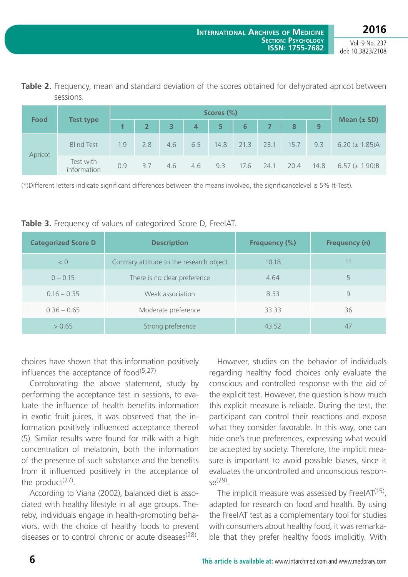**2016**

Vol. 9 No. 237 doi: 10.3823/2108

**Table 2.** Frequency, mean and standard deviation of the scores obtained for dehydrated apricot between sessions.

| <b>Food</b> | <b>Test type</b>         |     |                |                         |                |                |                |                |      |                  |                     |
|-------------|--------------------------|-----|----------------|-------------------------|----------------|----------------|----------------|----------------|------|------------------|---------------------|
|             |                          |     | 2 <sup>1</sup> | $\overline{\mathbf{3}}$ | $\overline{4}$ | 5 <sup>°</sup> | $6\phantom{1}$ | 7 <sup>7</sup> | 8    | $\boldsymbol{9}$ | Mean $(\pm$ SD)     |
| Apricot     | <b>Blind Test</b>        | 1.9 | 2.8            | 4.6                     | 6.5            | 14.8           | 21.3           | 23.1           | 15.7 | 9.3              | 6.20 $(\pm 1.85)$ A |
|             | Test with<br>information | 0.9 | 3.7            | 4.6                     | 4.6            | 9.3            | 17.6           | 24.1           | 20.4 | 14.8             | 6.57 $(\pm 1.90)B$  |

(\*)Different letters indicate significant differences between the means involved, the significancelevel is 5% (t-Test).

|  | Table 3. Frequency of values of categorized Score D, FreelAT. |
|--|---------------------------------------------------------------|
|--|---------------------------------------------------------------|

| <b>Categorized Score D</b> | <b>Description</b>                       | <b>Frequency (%)</b> | <b>Frequency (n)</b> |
|----------------------------|------------------------------------------|----------------------|----------------------|
| < 0                        | Contrary attitude to the research object | 10.18                |                      |
| $0 - 0.15$                 | There is no clear preference             | 4.64                 | 5                    |
| $0.16 - 0.35$              | Weak association                         | 8.33                 | 9                    |
| $0.36 - 0.65$              | Moderate preference                      | 33.33                | 36                   |
| > 0.65                     | Strong preference                        | 43.52                | 47                   |

choices have shown that this information positively influences the acceptance of  $food^{(5,27)}$ .

Corroborating the above statement, study by performing the acceptance test in sessions, to evaluate the influence of health benefits information in exotic fruit juices, it was observed that the information positively influenced acceptance thereof (5). Similar results were found for milk with a high concentration of melatonin, both the information of the presence of such substance and the benefits from it influenced positively in the acceptance of the product $(27)$ .

According to Viana (2002), balanced diet is associated with healthy lifestyle in all age groups. Thereby, individuals engage in health-promoting behaviors, with the choice of healthy foods to prevent diseases or to control chronic or acute diseases<sup>(28)</sup>.

However, studies on the behavior of individuals regarding healthy food choices only evaluate the conscious and controlled response with the aid of the explicit test. However, the question is how much this explicit measure is reliable. During the test, the participant can control their reactions and expose what they consider favorable. In this way, one can hide one's true preferences, expressing what would be accepted by society. Therefore, the implicit measure is important to avoid possible biases, since it evaluates the uncontrolled and unconscious respon- $\varsigma \varrho$ (29)

The implicit measure was assessed by FreeIAT $(15)$ , adapted for research on food and health. By using the FreeIAT test as a complementary tool for studies with consumers about healthy food, it was remarkable that they prefer healthy foods implicitly. With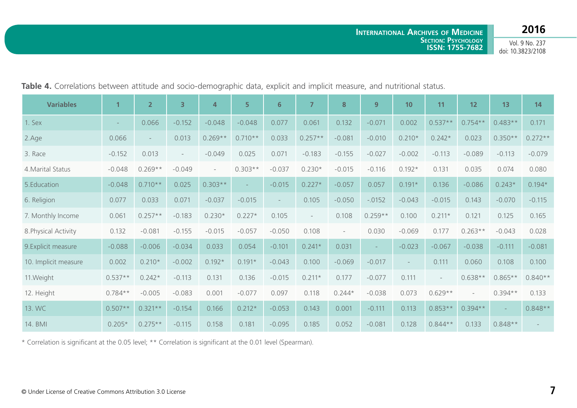|  |  |  |  |  |  |  |  |  | Table 4. Correlations between attitude and socio-demographic data, explicit and implicit measure, and nutritional status. |
|--|--|--|--|--|--|--|--|--|---------------------------------------------------------------------------------------------------------------------------|
|--|--|--|--|--|--|--|--|--|---------------------------------------------------------------------------------------------------------------------------|

| <b>Variables</b>     |                          | $\overline{2}$ | $\overline{3}$           | $\overline{4}$           | 5         | 6 <sup>1</sup>           | $\overline{ }$ | 8                   | 9         | 10                       | 11        | 12        | 13        | 14        |
|----------------------|--------------------------|----------------|--------------------------|--------------------------|-----------|--------------------------|----------------|---------------------|-----------|--------------------------|-----------|-----------|-----------|-----------|
| 1. Sex               | $\overline{\phantom{a}}$ | 0.066          | $-0.152$                 | $-0.048$                 | $-0.048$  | 0.077                    | 0.061          | 0.132               | $-0.071$  | 0.002                    | $0.537**$ | $0.754**$ | $0.483**$ | 0.171     |
| 2.Age                | 0.066                    |                | 0.013                    | $0.269**$                | $0.710**$ | 0.033                    | $0.257**$      | $-0.081$            | $-0.010$  | $0.210*$                 | $0.242*$  | 0.023     | $0.350**$ | $0.272**$ |
| 3. Race              | $-0.152$                 | 0.013          | $\overline{\phantom{a}}$ | $-0.049$                 | 0.025     | 0.071                    | $-0.183$       | $-0.155$            | $-0.027$  | $-0.002$                 | $-0.113$  | $-0.089$  | $-0.113$  | $-0.079$  |
| 4. Marital Status    | $-0.048$                 | $0.269**$      | $-0.049$                 | $\overline{\phantom{a}}$ | $0.303**$ | $-0.037$                 | $0.230*$       | $-0.015$            | $-0.116$  | $0.192*$                 | 0.131     | 0.035     | 0.074     | 0.080     |
| 5.Education          | $-0.048$                 | $0.710**$      | 0.025                    | $0.303**$                |           | $-0.015$                 | $0.227*$       | $-0.057$            | 0.057     | $0.191*$                 | 0.136     | $-0.086$  | $0.243*$  | $0.194*$  |
| 6. Religion          | 0.077                    | 0.033          | 0.071                    | $-0.037$                 | $-0.015$  | $\overline{\phantom{a}}$ | 0.105          | $-0.050$            | $-.0152$  | $-0.043$                 | $-0.015$  | 0.143     | $-0.070$  | $-0.115$  |
| 7. Monthly Income    | 0.061                    | $0.257**$      | $-0.183$                 | $0.230*$                 | $0.227*$  | 0.105                    | $\overline{a}$ | 0.108               | $0.259**$ | 0.100                    | $0.211*$  | 0.121     | 0.125     | 0.165     |
| 8. Physical Activity | 0.132                    | $-0.081$       | $-0.155$                 | $-0.015$                 | $-0.057$  | $-0.050$                 | 0.108          | $\bar{\phantom{a}}$ | 0.030     | $-0.069$                 | 0.177     | $0.263**$ | $-0.043$  | 0.028     |
| 9. Explicit measure  | $-0.088$                 | $-0.006$       | $-0.034$                 | 0.033                    | 0.054     | $-0.101$                 | $0.241*$       | 0.031               |           | $-0.023$                 | $-0.067$  | $-0.038$  | $-0.111$  | $-0.081$  |
| 10. Implicit measure | 0.002                    | $0.210*$       | $-0.002$                 | $0.192*$                 | $0.191*$  | $-0.043$                 | 0.100          | $-0.069$            | $-0.017$  | $\overline{\phantom{a}}$ | 0.111     | 0.060     | 0.108     | 0.100     |
| 11.Weight            | $0.537**$                | $0.242*$       | $-0.113$                 | 0.131                    | 0.136     | $-0.015$                 | $0.211*$       | 0.177               | $-0.077$  | 0.111                    | $\equiv$  | $0.638**$ | $0.865**$ | $0.840**$ |
| 12. Height           | $0.784**$                | $-0.005$       | $-0.083$                 | 0.001                    | $-0.077$  | 0.097                    | 0.118          | $0.244*$            | $-0.038$  | 0.073                    | $0.629**$ |           | $0.394**$ | 0.133     |
| 13. WC               | $0.507**$                | $0.321**$      | $-0.154$                 | 0.166                    | $0.212*$  | $-0.053$                 | 0.143          | 0.001               | $-0.111$  | 0.113                    | $0.853**$ | $0.394**$ | $\sim$    | $0.848**$ |
| 14. BMI              | $0.205*$                 | $0.275**$      | $-0.115$                 | 0.158                    | 0.181     | $-0.095$                 | 0.185          | 0.052               | $-0.081$  | 0.128                    | $0.844**$ | 0.133     | $0.848**$ |           |

\* Correlation is significant at the 0.05 level; \*\* Correlation is significant at the 0.01 level (Spearman).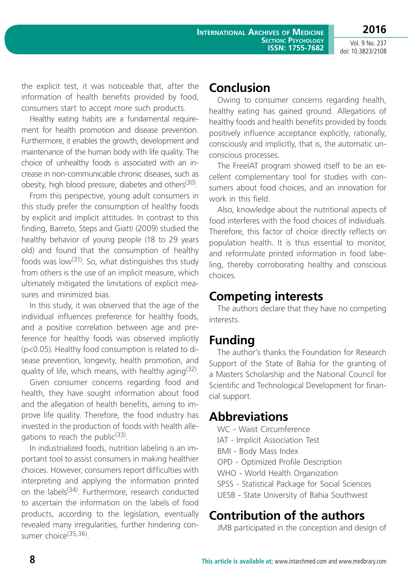**2016**

the explicit test, it was noticeable that, after the information of health benefits provided by food, consumers start to accept more such products.

Healthy eating habits are a fundamental requirement for health promotion and disease prevention. Furthermore, it enables the growth, development and maintenance of the human body with life quality. The choice of unhealthy foods is associated with an increase in non-communicable chronic diseases, such as obesity, high blood pressure, diabetes and others<sup>(30)</sup>.

From this perspective, young adult consumers in this study prefer the consumption of healthy foods by explicit and implicit attitudes. In contrast to this finding, Barreto, Steps and Giatti (2009) studied the healthy behavior of young people (18 to 29 years old) and found that the consumption of healthy foods was low<sup>(31)</sup>. So, what distinguishes this study from others is the use of an implicit measure, which ultimately mitigated the limitations of explicit measures and minimized bias.

In this study, it was observed that the age of the individual influences preference for healthy foods, and a positive correlation between age and preference for healthy foods was observed implicitly (p<0.05). Healthy food consumption is related to disease prevention, longevity, health promotion, and quality of life, which means, with healthy aging  $(32)$ .

Given consumer concerns regarding food and health, they have sought information about food and the allegation of health benefits, aiming to improve life quality. Therefore, the food industry has invested in the production of foods with health allegations to reach the public<sup>(33)</sup>.

In industrialized foods, nutrition labeling is an important tool to assist consumers in making healthier choices. However, consumers report difficulties with interpreting and applying the information printed on the labels<sup>(34)</sup>. Furthermore, research conducted to ascertain the information on the labels of food products, according to the legislation, eventually revealed many irregularities, further hindering consumer choice<sup>(35,36)</sup>.

# **Conclusion**

Owing to consumer concerns regarding health, healthy eating has gained ground. Allegations of healthy foods and health benefits provided by foods positively influence acceptance explicitly, rationally, consciously and implicitly, that is, the automatic unconscious processes.

The FreeIAT program showed itself to be an excellent complementary tool for studies with consumers about food choices, and an innovation for work in this field.

Also, knowledge about the nutritional aspects of food interferes with the food choices of individuals. Therefore, this factor of choice directly reflects on population health. It is thus essential to monitor, and reformulate printed information in food labeling, thereby corroborating healthy and conscious choices.

# **Competing interests**

The authors declare that they have no competing interests.

# **Funding**

The author's thanks the Foundation for Research Support of the State of Bahia for the granting of a Masters Scholarship and the National Council for Scientific and Technological Development for financial support.

# **Abbreviations**

- WC Waist Circumference
- IAT Implicit Association Test
- BMI Body Mass Index
- OPD Optimized Profile Description
- WHO World Health Organization
- SPSS Statistical Package for Social Sciences
- UESB State University of Bahia Southwest

# **Contribution of the authors**

JMB participated in the conception and design of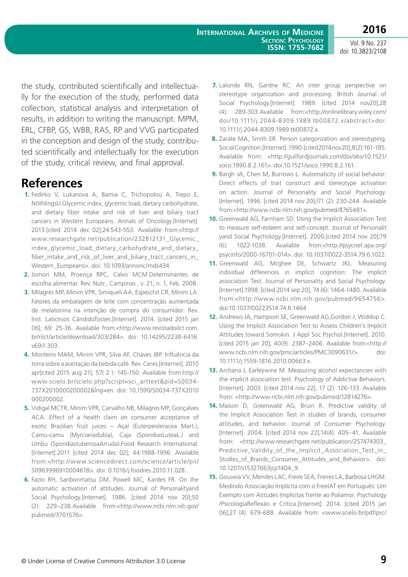the study, contributed scientifically and intellectually for the execution of the study, performed data collection, statistical analysis and interpretation of results, in addition to writing the manuscript. MPM, ERL, CFBP, GS, WBB, RAS, RP and VVG participated in the conception and design of the study, contributed scientifically and intellectually for the execution of the study, critical review, and final approval.

# **References**

- **1.** Fedirko V, Lukanova A, Bamia C, Trichopolou A, Trepo E, NöthlingsU.Glycemic index, glycemic load, dietary carbohydrate, and dietary fiber intake and risk of liver and biliary tract cancers in Western Europeans. [Annals of Oncology](http://annonc.oxfordjournals.org/).[Internet]. 2013.[cited 2014 dec 02];[24:543-553. Available from:<http://](http://annonc.oxfordjournals.org/content/24/2.toc) [www.researchgate.net/publication/232812131\\_Glycemic\\_](http://annonc.oxfordjournals.org/content/24/2.toc) [index\\_glycemic\\_load\\_dietary\\_carbohydrate\\_and\\_dietary\\_](http://annonc.oxfordjournals.org/content/24/2.toc) [fiber\\_intake\\_and\\_risk\\_of\\_liver\\_and\\_biliary\\_tract\\_cancers\\_in\\_](http://annonc.oxfordjournals.org/content/24/2.toc) [Western\\_Europeans>. doi: 10.1093/annonc/mds434.](http://annonc.oxfordjournals.org/content/24/2.toc)
- **2.** Jomori MM, Proença RPC, Calvo MCM.Determinantes de escolha alimentar. Rev. Nutr., Campinas , v. 21, n. 1, Feb. 2008.
- **3.** Milagres MP, Minim VPR, Simiqueli AA, Espeschit CR, Minim LA. Fatores da embalagem de leite com concentração aumentada de melatonina na intenção de compra do consumidor. Rev. Inst. Laticínios CândidoTostes.[Internet]. 2014. [cited 2015 jan 06]; 69: 25-36. Available from:<[http://www.revistadoilct.com.](http://www.revistadoilct.com.br/rilct/article/download/303/284) [br/rilct/article/download/303/284>](http://www.revistadoilct.com.br/rilct/article/download/303/284). doi: 10.14295/2238-6416. v69i1.303.
- **4.** Monteiro MAM, Minim VPR, Silva AF, Chaves JBP. Influência da torra sobre a aceitação da bebida café. Rev. Ceres [Internet]. 2010 apr[cited 2015 aug 21]; 57( 2 ): 145-150. Available from:http:// www.scielo.br/scielo.php?script=sci\_arttext&pid=S0034- 737X2010000200002&lng=en. doi: 10.1590/S0034-737X2010 000200002.
- **5.** Vidigal MCTR, Minim VPR, Carvalho NB, Milagres MP, Gonçalves ACA. Effect of a health claim on consumer acceptance of exotic Brazilian fruit juices – Açaí (Euterpeoleracea Mart.), Camu-camu (Myrciariadubia), Caja (SpondiasLuteaL.) and Umbu (SpondiastuberosaArruda).Food Research International. [Internet].2011 [cited 2014 dec 02]; 44:1988-1996. Available from:<[http://www.sciencedirect.com/science/article/pii/](http://www.sciencedirect.com/science/article/pii/S0963996910004618) [S0963996910004618>](http://www.sciencedirect.com/science/article/pii/S0963996910004618). doi: [0.1016/j.foodres.2010.11.028.](http://dx.doi.org/10.1016/j.foodres.2010.11.028)
- **6.** Fazio RH, Sanbonmatsu DM, Powell MC, Kardes FR. On the automatic activation of attitudes. Journal of Personalityand Social Psychology.[Internet]. 1986. [cited 2014 nov 20];50 (2): 229–238.Available from:<http://www.ncbi.nlm.nih.gov/ pubmed/3701576>.
- **7.** Lalonde RN, Gardne RC. An inter group perspective on stereotype organization and processing. British Journal of Social Psychology.[Internet]. 1989. [cited 2014 nov20];28 (4): 289-303.Available from:<http://onlinelibrary.wiley.com/ doi/10.1111/j.2044-8309.1989.tb00872.x/abstract>doi: 10.1111/j.2044-8309.1989.tb00872.x.
- **8.** Zarate MA, Smith ER. Person categorization and stereotyping. Social Cognition.[Internet]. 1990. [cited 2014 nov 20];8 (2):161-185. Available from: <http://guilfordjournals.com/doi/abs/10.1521/ soco.1990.8.2.161>. doi:10.1521/soco.1990.8.2.161.
- **9.** Bargh JA, Chen M, Burrows L. Automaticity of social behavior: Direct effects of trait construct and stereotype activation on action. Journal of Personality and Social Psychology. [Internet]. 1996. [cited 2014 nov 20];l71 (2): 230-244. Available from:<http://www.ncbi.nlm.nih.gov/pubmed/8765481>.
- **10.** Greenwald AG, Farnham SD. Using the Implicit Association Test to measure self-esteem and self-concept. Journal of Personalit yand Social Psychology.[Internet]. 2000.[cited 2014 nov 20];79 (6): 1022-1038. Available from:<http://psycnet.apa.org/ psycinfo/2000-16701-014>. doi: [10.1037/0022-3514.79.6.1022](http://dx.doi.org/10.1037/0022-3514.79.6.1022).
- **11.** Greenwald AG, Mcghee DE, Schwartz JKL. Measuring individual differences in implicit cognition: The implicit association Test. Journal of Personality and Social Psychology. [Internet].1998. [cited 2014 sep 20]; 74 (6): 1464-1480. Available from:<http://www.ncbi.nlm.nih.gov/pubmed/9654756>. doi:10.1037/00223514.74.6.1464
- **12.** Andrews JA, Hampson SE, Greenwald AG,Gordon J, Widdop C. Using the Implicit Association Test to Assess Children's Implicit Attitudes toward Somokin. J Appl Soc Psychol.[Internet]. 2010. [cited 2015 jan 20]; 40(9): 2387–2406. Available from:<http:// www.ncbi.nlm.nih.gov/pmc/articles/PMC3090631/>. doi: 10.1111/j.1559-1816.2010.00663.x.
- **13.** Archana J, Earleywine M. Measuring alcohol expectancies with the implicit association test. Psychology of Addictive Behaviors. [Internet]. 2003. [cited 2014 nov 22]; 17 (2): 126-133. Available from: <http://www.ncbi.nlm.nih.gov/pubmed/12814276>.
- **14.** Maison D, Greenwald AG, Bruin R. Predictive validity of the Implicit Association Test in studies of brands, consumer attitudes, and behavior. Journal of Consumer Psychology. [Internet]. 2004. [cited 2014 nov 22];14(4): 405-41. Available from: <http://www.researchgate.net/publication/257474303\_ Predictive\_Validity\_of\_the\_Implicit\_Association\_Test\_in\_ Studies\_of\_Brands\_Consumer\_Attitudes\_and\_Behavior>. doi: 10.1207/s15327663jcp1404\_9.
- **15.** Gouveia VV, Mendes LAC, Freire SEA, Freires LA, Barbosa LHGM. Medindo Associação Implícita com o FreeIAT em Português: Um Exemplo com Atitudes Implícitas frente ao Poliamor. Psychology /PsicologiaReflexão e Crítica.[Internet]. 2014. [cited 2015 jan 06];27 (4): 679-688. Available from: <www.scielo.br/pdf/prc/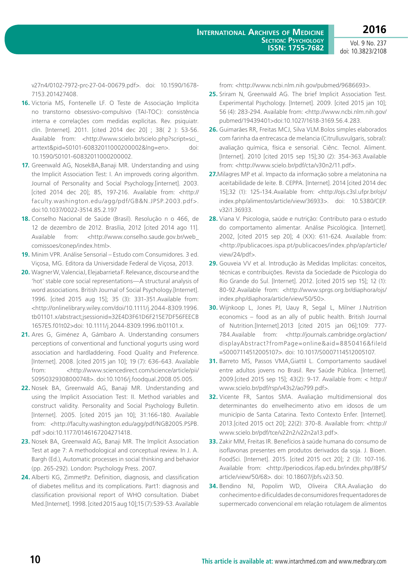v27n4/0102-7972-prc-27-04-00679.pdf>. doi: 10.1590/1678- 7153.201427408.

- **16.** Victoria MS, Fontenelle LF. O Teste de Associação Implícita no transtorno obsessivo-compulsivo (TAI-TOC): consistência interna e correlações com medidas explícitas. Rev. psiquiatr. clín. [Internet]. 2011. [cited 2014 dec 20] ; 38( 2 ): 53-56. Available from: <http://www.scielo.br/scielo.php?script=sci\_ arttext&pid=S0101-60832011000200002&lng=en>. doi: 10.1590/S0101-60832011000200002.
- **17.** Greenwald AG, NosekBA,Banaji MR. Understanding and using the Implicit Association Test: I. An improveds coring algorithm. Journal of Personality and Social Psychology.[internet]. 2003. [cited 2014 dec 20]; 85, 197-216. Available from: <http:// faculty.washington.edu/agg/pdf/GB&N.JPSP.2003.pdf>. doi:10.1037/0022-3514.85.2.197
- **18.** Conselho Nacional de Saúde (Brasil). Resolução n o 466, de 12 de dezembro de 2012. Brasília, 2012 [cited 2014 ago 11]. Available from: <[http://www.conselho.saude.gov.br/web\\_](http://www.conselho.saude.gov.br/web_comissoes/conep/index.html) [comissoes/conep/index.html>](http://www.conselho.saude.gov.br/web_comissoes/conep/index.html).
- **19.** Minim VPR. Análise Sensorial Estudo com Consumidores. 3 ed. Viçosa, MG. Editora da Universidade Federal de Viçosa, 2013.
- **20.** Wagner W, ValenciaJ, Elejabarrieta F. Relevance, discourse and the 'hot' stable core social representations—A structural analysis of word associations. British Journal of Social Psychology.[Internet]. 1996. [cited 2015 aug 15]; 35 (3): 331-351.Available from: <http://onlinelibrary.wiley.com/doi/10.1111/j.2044-8309.1996. tb01101.x/abstract;jsessionid=32E4D3F61D6F215E7DF56FEECB 1657E5.f01t02>doi: 10.1111/j.2044-8309.1996.tb01101.x.
- **21.** Ares G, Giménez A, Gámbaro A. Understanding consumers perceptions of conventional and functional yogurts using word association and hardladdering. Food Quality and Preference. [Internet]. 2008. [cited 2015 jan 10]; 19 (7): 636-643. Available from: <http://www.sciencedirect.com/science/article/pii/ S0950329308000748>. [doi:10.1016/j.foodqual.2008.05.005.](http://dx.doi.org/10.1016/j.foodqual.2008.05.005)
- **22.** Nosek BA, Greenwald AG, Banaji MR. Understanding and using the Implicit Association Test: II. Method variables and construct validity. Personality and Social Psychology Bulletin. [Internet]. 2005. [cited 2015 jan 10]; 31:166-180. Available from: <http://faculty.washington.edu/agg/pdf/NGB2005.PSPB. pdf >doi:10.1177/0146167204271418.
- **23.** Nosek BA, Greenwald AG, Banaji MR. The Implicit Association Test at age 7: A methodological and conceptual review. In J. A. Bargh (Ed.), Automatic processes in social thinking and behavior (pp. 265-292). London: Psychology Press. 2007.
- **24.** Alberti KG, ZimmetPz. Definition, diagnosis, and classification of diabetes mellitus and its complications. Part1: diagnosis and classification provisional report of WHO consultation. Diabet Med.[Internet]. 1998. [cited 2015 aug 10];15 (7):539-53. Available

from: <http://www.ncbi.nlm.nih.gov/pubmed/9686693>.

- **25.** Sriram N, Greenwald AG. The brief Implicit Association Test. Experimental Psychology. [Internet]. 2009. [cited 2015 jan 10]; 56 (4): 283-294. Available from: <http://www.ncbi.nlm.nih.gov/ pubmed/19439401>doi:10.1027/1618-3169.56.4.283.
- **26.** Guimarães RR, Freitas MCJ, Silva VLM.Bolos simples elaborados com farinha da entrecasca de melancia (Citrullusvulgaris, sobral): avaliação química, física e sensorial. Ciênc. Tecnol. Aliment. [Internet]. 2010 [cited 2015 sep 15];30 (2): 354-363.Available from: <<http://www.scielo.br/pdf/cta/v30n2/11.pdf>>.
- **27.**Milagres MP et al. Impacto da informação sobre a melatonina na aceitabilidade de leite. B. CEPPA. [Internet]. 2014 [cited 2014 dec 15];32 (1): 125-134.Available from: <http://ojs.c3sl.ufpr.br/ojs/ index.php/alimentos/article/view/36933>. doi: 10.5380/CEP. v32i1.36933.
- **28.** Viana V. Psicologia, saúde e nutrição: Contributo para o estudo do comportamento alimentar. Análise Psicológica. [Internet]. 2002, [cited 2015 sep 20]; 4 (XX): 611-624. Available from: <http://publicacoes.ispa.pt/publicacoes/index.php/ap/article/ view/24/pdf>.
- **29.** Gouveia VV et al. Introdução às Medidas Implícitas: conceitos, técnicas e contribuições. Revista da Sociedade de Psicologia do Rio Grande do Sul. [Internet]. 2012. [cited 2015 sep 15]; 12 (1): 80-92.Available from: <http://www.sprgs.org.br/diaphora/ojs/ index.php/diaphora/article/view/50/50>.
- **30.** Wijnkoop L, Jones PJ, Uauy R, Segal L, Milner J.Nutrition economics – food as an ally of public health. British Journal of Nutrition.[Internet].2013 [cited 2015 jan 06];109: 777- 784.Available from: [<http://journals.cambridge.org/action/](http://journals.cambridge.org/action/displayAbstract?fromPage=online&aid=8850416&fileId=S0007114512005107) [displayAbstract?fromPage=online&aid=8850416&fileId](http://journals.cambridge.org/action/displayAbstract?fromPage=online&aid=8850416&fileId=S0007114512005107) [=S0007114512005107](http://journals.cambridge.org/action/displayAbstract?fromPage=online&aid=8850416&fileId=S0007114512005107)>. doi: 10.1017/S0007114512005107.
- **31.** Barreto MS, Passos VMA, Giattil L. Comportamento saudável entre adultos jovens no Brasil. Rev Saúde Pública. [Internet]. 2009.[cited 2015 sep 15]; 43(2): 9-17. Available from: < http:// www.scielo.br/pdf/rsp/v43s2/ao799.pdf>.
- **32.** Vicente FR, Santos SMA. Avaliação multidimensional dos determinantes do envelhecimento ativo em idosos de um município de Santa Catarina. Texto Contexto Enfer. [Internet]. 2013.[cited 2015 oct 20]; 22(2): 370-8. Available from: <http:// www.scielo.br/pdf/tce/v22n2/v22n2a13.pdf>.
- **33.** Zakir MM, Freitas IR. Benefícios à saúde humana do consumo de isoflavonas presentes em produtos derivados da soja. J. Bioen. FoodSci. [Internet]. 2015. [cited 2015 oct 20]; 2 (3): 107-116. Available from: <http://periodicos.ifap.edu.br/index.php/JBFS/ article/view/50/68>. doi: 10.18607/jbfs.v2i3.50.
- **34.** Bendino NI, Popolim WD, Oliveira CRA.Avaliação do conhecimento e dificuldades de consumidores frequentadores de supermercado convencional em relação rotulagem de alimentos